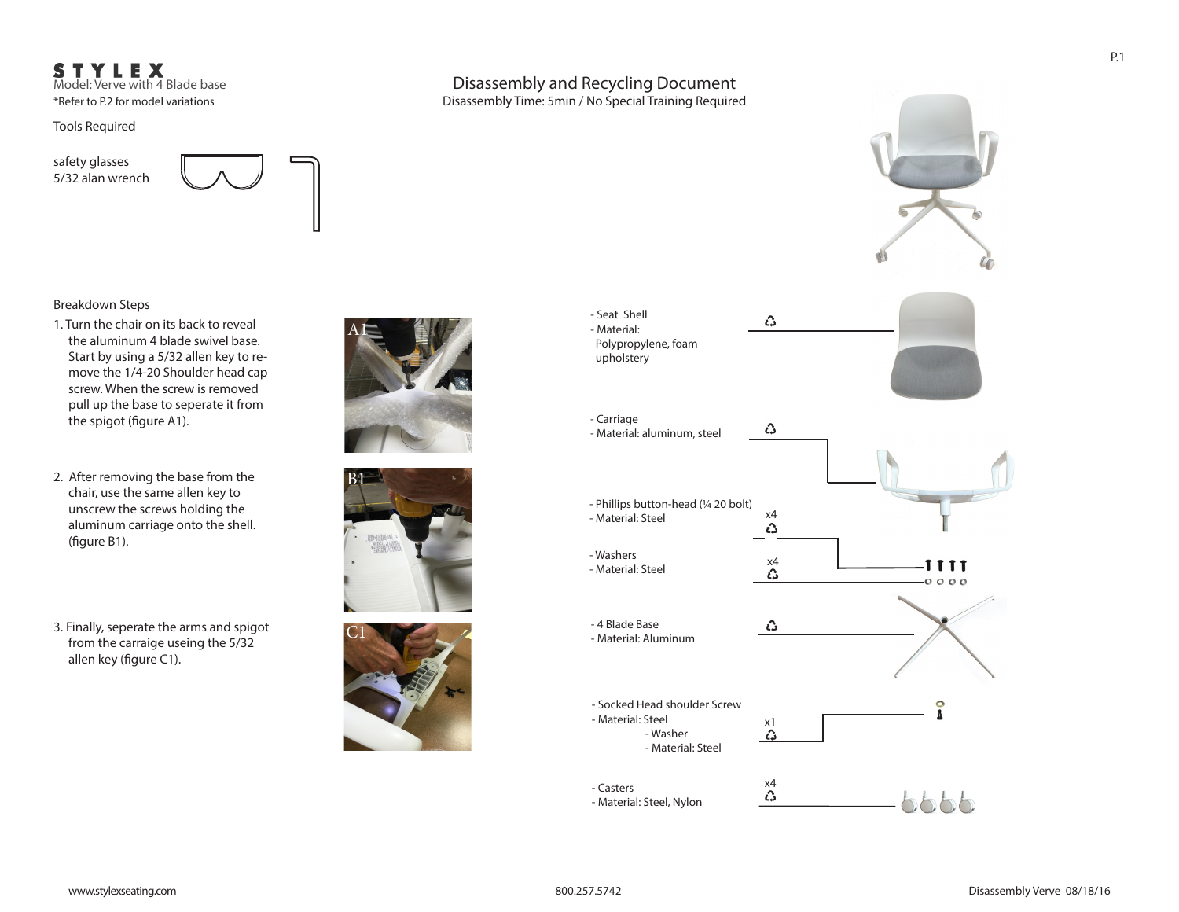# STYLEX

Model: Verve with 4 Blade base \*Refer to P.2 for model variations

Tools Required

safety glasses 5/32 alan wrench



### Breakdown Steps

- 1. Turn the chair on its back to reveal the aluminum 4 blade swivel base. Start by using a 5/32 allen key to remove the 1/4-20 Shoulder head cap screw. When the screw is removed pull up the base to seperate it from the spigot (figure A1).
- 2. After removing the base from the chair, use the same allen key to unscrew the screws holding the aluminum carriage onto the shell. (figure B1).
- 3. Finally, seperate the arms and spigot from the carraige useing the 5/32 allen key (figure C1).









- Material: Steel, Nylon

 $hhhh$